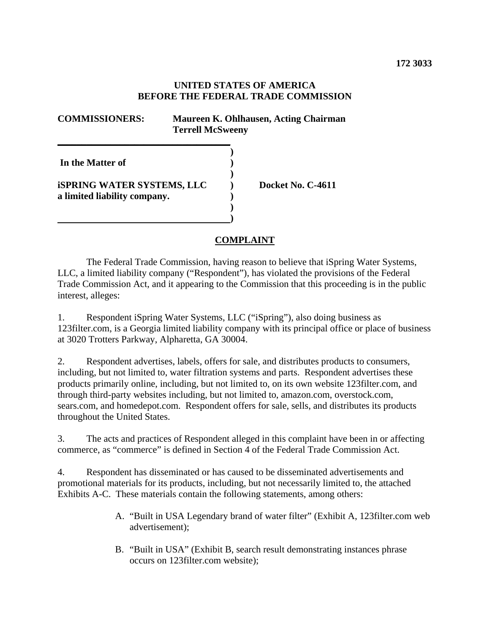## **UNITED STATES OF AMERICA BEFORE THE FEDERAL TRADE COMMISSION**

| <b>COMMISSIONERS:</b>                                                          | Maureen K. Ohlhausen, Acting Chairman<br><b>Terrell McSweeny</b> |                   |
|--------------------------------------------------------------------------------|------------------------------------------------------------------|-------------------|
| In the Matter of<br>iSPRING WATER SYSTEMS, LLC<br>a limited liability company. |                                                                  | Docket No. C-4611 |

## **COMPLAINT**

The Federal Trade Commission, having reason to believe that iSpring Water Systems, LLC, a limited liability company ("Respondent"), has violated the provisions of the Federal Trade Commission Act, and it appearing to the Commission that this proceeding is in the public interest, alleges:

1. Respondent iSpring Water Systems, LLC ("iSpring"), also doing business as 123filter.com, is a Georgia limited liability company with its principal office or place of business at 3020 Trotters Parkway, Alpharetta, GA 30004.

2. Respondent advertises, labels, offers for sale, and distributes products to consumers, including, but not limited to, water filtration systems and parts. Respondent advertises these products primarily online, including, but not limited to, on its own website 123filter.com, and through third-party websites including, but not limited to, amazon.com, overstock.com, sears.com, and homedepot.com. Respondent offers for sale, sells, and distributes its products throughout the United States.

3. The acts and practices of Respondent alleged in this complaint have been in or affecting commerce, as "commerce" is defined in Section 4 of the Federal Trade Commission Act.

4. Respondent has disseminated or has caused to be disseminated advertisements and promotional materials for its products, including, but not necessarily limited to, the attached Exhibits A-C. These materials contain the following statements, among others:

- A. "Built in USA Legendary brand of water filter" (Exhibit A, 123filter.com web advertisement);
- B. "Built in USA" (Exhibit B, search result demonstrating instances phrase occurs on 123filter.com website);